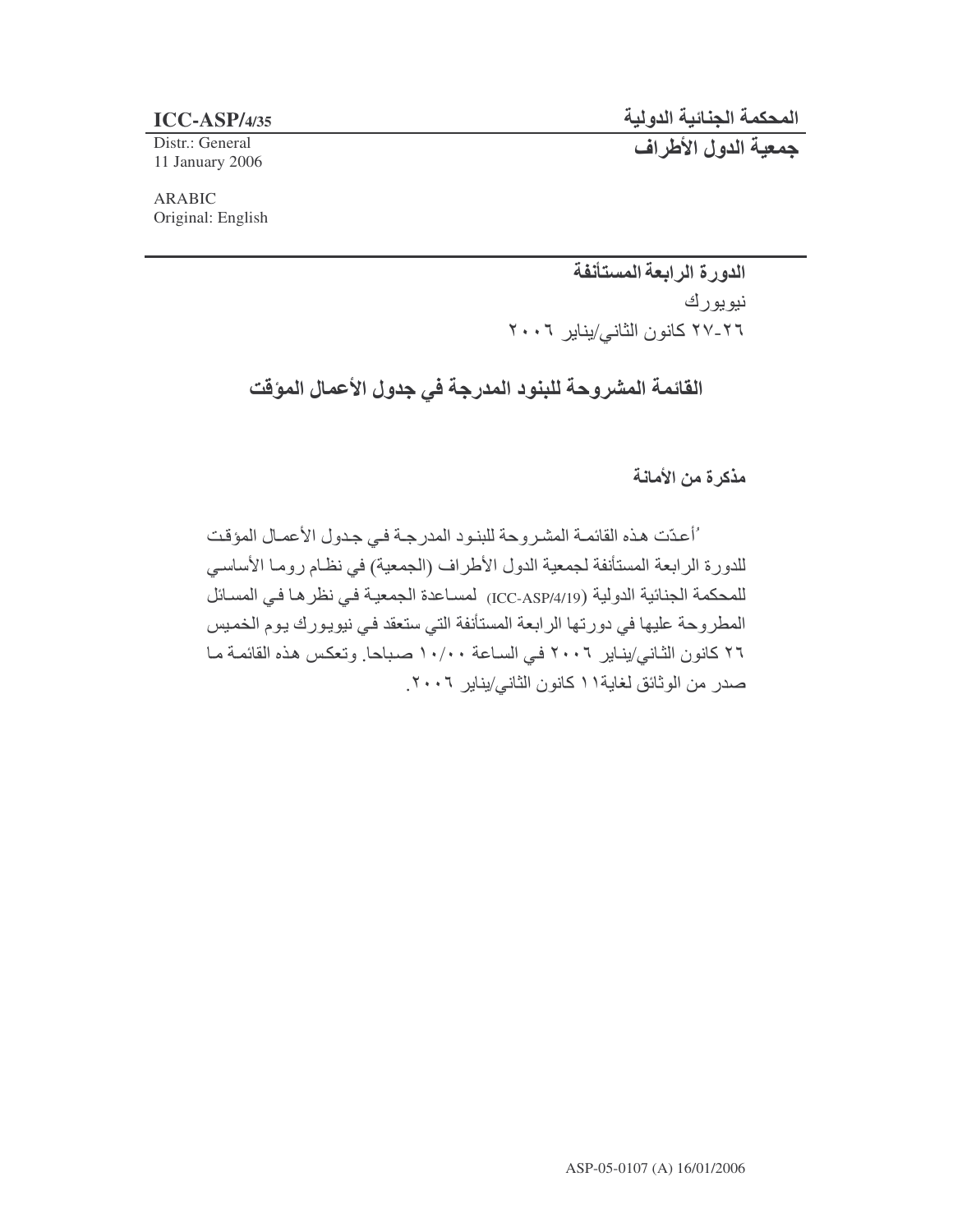## المحكمة الجنائية الدول

**ICC-ASP/4/35** -

Distr.: General 11 January 2006

جمعية الدول الأطراف

ARABIC Original: English

> الدورة الرابعة المستأنفة نيويورك ٢٦-٢٧ كانون الثاني/يناير ٢٠٠٦

القائمة المشروحة للبنود المدرجة في جدول الأعمال الموقت

مذكرة من الأمانة

ْ أعدّت هذه القائمـة المشـروحة للبنـود المدرجـة فـي جـدول الأعمـال المؤقت للدورة الرابعة المستأنفة لجمعية الدول الأطراف (الجمعية) في نظـام رومـا الأساسـي للمحكمة الجنائية الدولية (ICC-ASP/4/19) لمساعدة الجمعية في نظر ها في المسائل َ الْمطْرِ وحة عليها في دورتها الرابعة المستأنفة التي ستعقد في نيويورك يوم الخميس ٢٦ كانون الثـاني/ينـاير ٢٠٠٦ فـي السـاعة ١٠/٠٠ صـبـاحا. وتعكس هذه القائمـة مـا صدر من الوثائق لغاية١١ كانون الثاني/يناير ٢٠٠٦.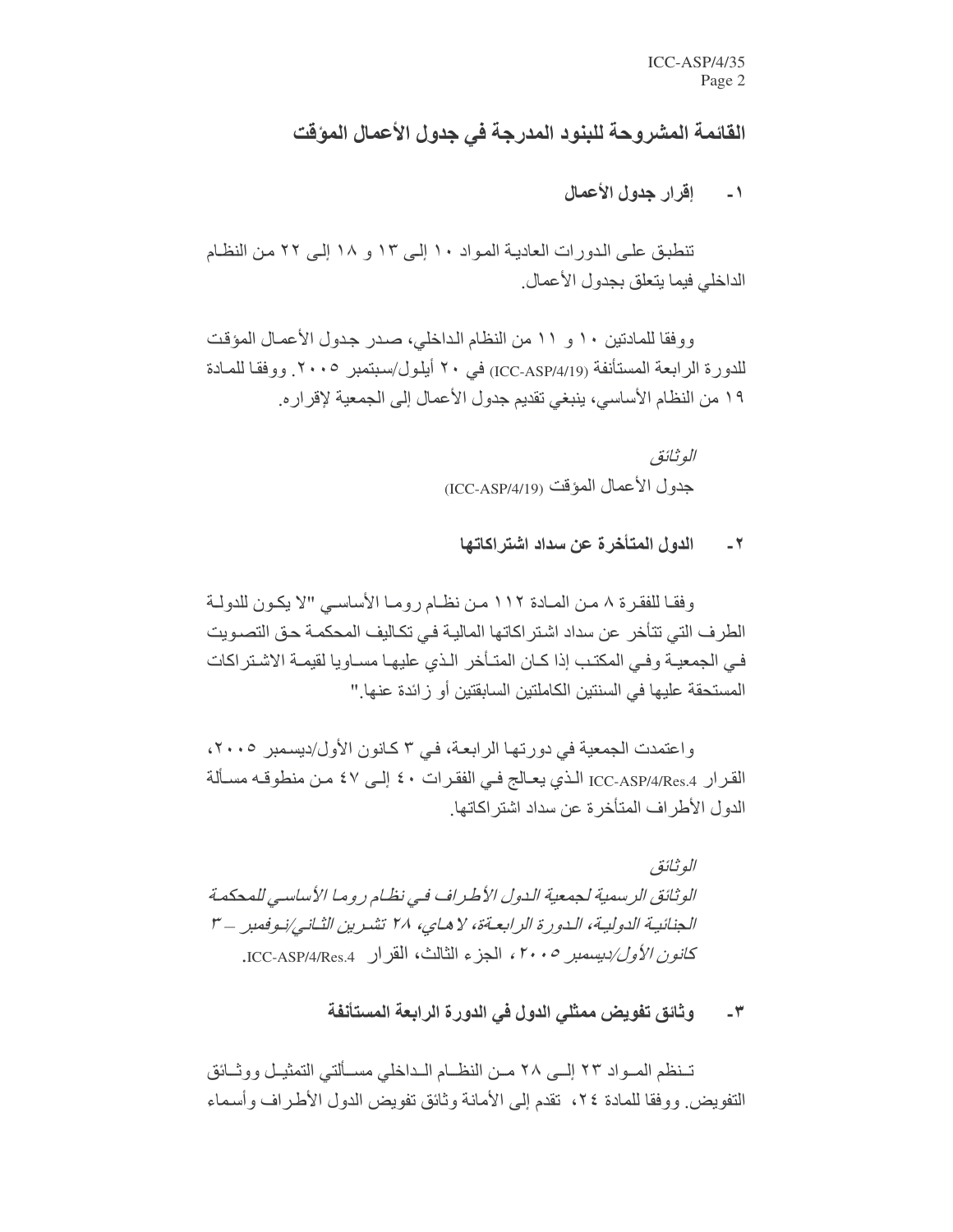## القائمة المشروحة للبنود المدرجة في جدول الأعمال المؤقت

اقرار جدول الأعمال  $\sim$   $\sim$   $\sim$ 

تنطبق على الدورات العادية المواد ١٠ إلى ١٢ و ١٨ إلى ٢٢ من النظام الداخلي فيما يتعلق بجدول الأعمال

ووفقا للمادتين ١٠ و ١١ من النظام الداخلي، صدر جدول الأعمال المؤقت للدو ر ة الر ابعة المستأنفة (ICC-ASP/4/19) في ٢٠ أيلو ل/سبتمبر ٢٠٠٥. ووفقا للمـادة ١٩ من النظام الأساسي، ينبغي تقديم جدول الأعمال إلى الجمعية لإقرار ه.

> الو ثائق جدو ل الأعمال المؤقت (ICC-ASP/4/19)

الدول المتأخر ة عن سداد اشتر اكاتها  $-7$ 

وفقـا للفقرة ٨ مـن المـادة ١١٢ مـن نظـام رومـا الأساسـي "لا يكـون للدولـة الطرف التي تتأخر عن سداد اشتر اكاتها المالية في تكاليف المحكمـة حق التصـويت في الجمعيـة وفـي المكتـب إذا كـان المتـأخر الـذي عليهـا مسـاويا لقيمـة الاشـتر اكات المستحقة عليها في السنتين الكاملتين السابقتين أو زائدة عنها "

واعتمدت الجمعية في دورتها الرابعة، في ٣ كانون الأول/ديسمبر ٢٠٠٥، القرار ICC-ASP/4/Res.4 الذي يعـالج فـي الفقرات ٤٠ إلـي ٤٧ مـن منطوقـه مسـألة الدو ل الأطر اف المتأخر ة عن سداد اشتر اكاتها ِ

الو ثائة ر الوثائق الرسمية لجمعية الدول الأطراف في نظام روما الأساسي للمحكمة الجنائية الدولية، الدورة الرابعةة، لا هاي، ٢٨ تشرين الثاني/نوفمبر -٣ كانون الأول/ديسمبر ٢٠٠٥، الجزء الثالث، القر ار .ICC-ASP/4/Res.4.

> وثائق تفويض ممثلي الدول في الدورة الرابعة المستأنفة  $-\tau$

تـنظم المـواد ٢٣ إلــي ٢٨ مـن النظــام الـداخلي مسـألتي التمثيـل ووثــائق النفويض ووفقا للمادة ٢٤، تقدم إلى الأمانة وثائق تفويض الدول الأطراف وأسماء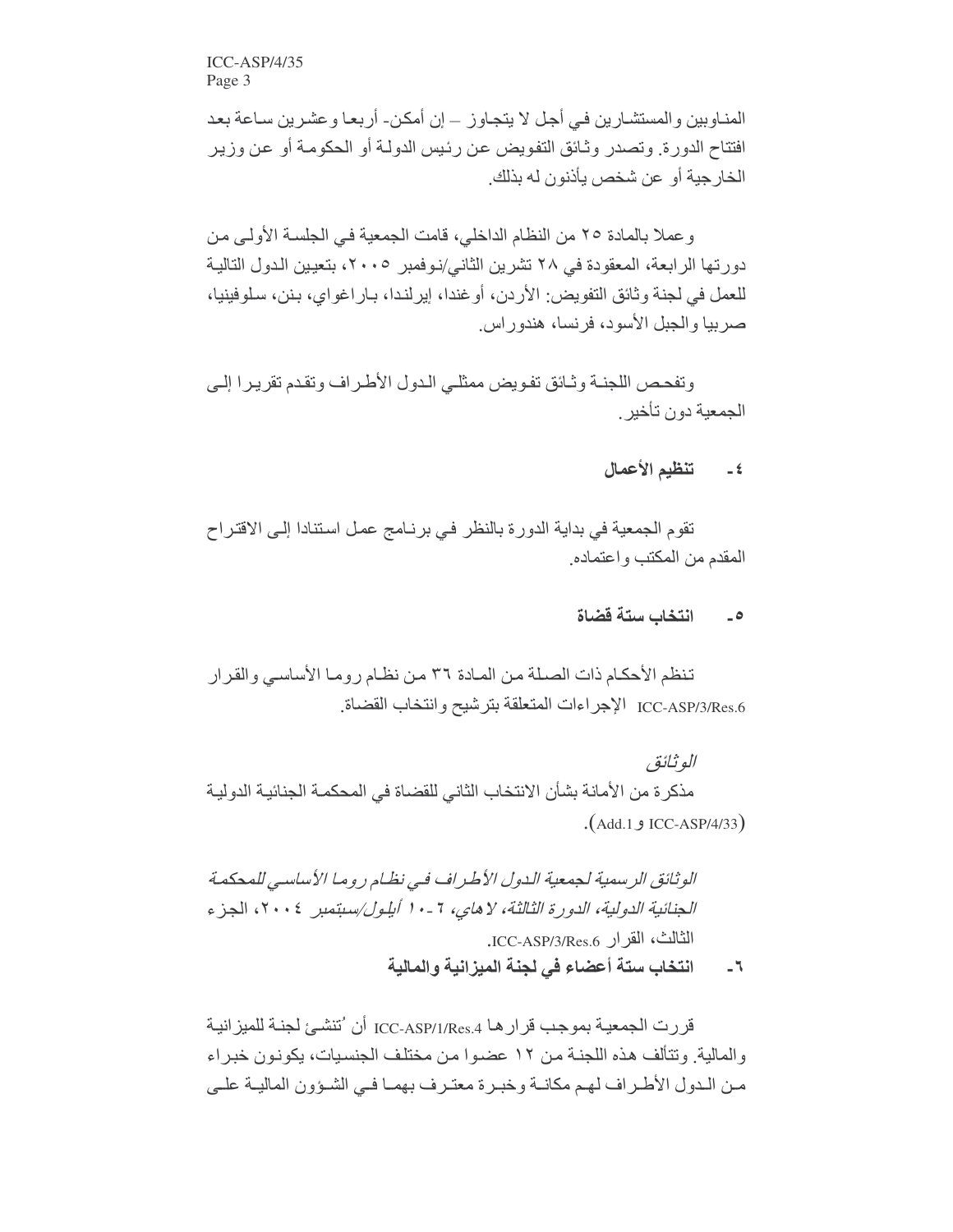$ICC-ASP/4/35$ Page 3

المناوبين والمستشارين في أجل لا يتجاوز ـ إن أمكن- أربعا وعشرين ساعة بعد افتتاح الدورة. وتصدر وثـائق التفويض عن رئيس الدولـة أو الحكومـة أو عن وزير الخارجية أو عن شخص يأذنون له بذلك

وعملا بالمادة ٢٥ من النظام الداخلي، قامت الجمعية في الجلسة الأولى من دور تها الر ابعة، المعقودة في ٢٨ تشر بن الثاني/نو فمبر ٢٠٠٥، بتعيين الدول التالية للعمل في لجنة وثائق التفويض: الأردن، أو غندا، إيرلندا، بـار اغواي، بـنن، سلوفينيا، صر بيا و الجبل الأسو د، فر نسا، هندو ر اس

وتفحص اللجنــة وثــائق تفـويض ممثلــى الـدول الأطـر اف وتقدم تقريـر ا الــى الجمعبة دون تأخبر

## تنظيم الأعمال  $-5$

تقوم الجمعية في بداية الدورة بالنظر في برنـامج عمل استنادا إلـى الاقتراح المقدم من المكتب و اعتماده

## انتخاب ستة قضاة  $\overline{\phantom{a}}$

تنظم الأحكام ذات الصلة من المـادة ٣٦ من نظـام ر ومـا الأساسـي و القر ار ICC-ASP/3/Res.6 الإجر اءات المتعلقة بتر شبح و انتخاب القضاة

الو ثائق مذكر ة من الأمانة بشأن الانتخاب الثاني للقضاة في المحكمـة الجنائيـة الدوليـة (Add.1 و ICC-ASP/4/33).

الوثائق الرسمية لجمعية الدول الأطراف في نظام روما الأساسي للمحكمة الجنائية الدولية، الدورة الثالثة، لا هاي، 7 - • ١ أيلول/سبتمبر ٢٠٠٤، الجزء الثالث، القرار ICC-ASP/3/Res.6.

انتخاب ستة أعضاء في لجنة الميزانية والمالية  $-7$ 

قررت الجمعية بموجب قرار هـا ICC-ASP/1/Res.4 أن 'تتشـىٔ لجنـة للميز انيـة والمالية وتتألف هذه اللجنة من ١٢ عضوا من مختلف الجنسيات، يكونون خبراء مـن الـدول الأطـراف لهـم مكانــة وخبـرة معتـرف بهمـا فـي الشـؤون الماليــة علــي